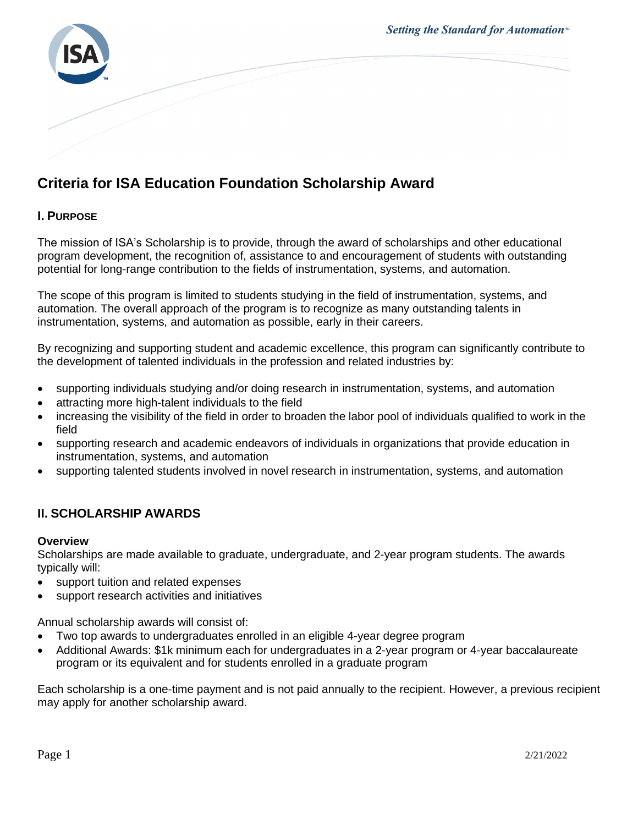

# **Criteria for ISA Education Foundation Scholarship Award**

# **I. PURPOSE**

The mission of ISA's Scholarship is to provide, through the award of scholarships and other educational program development, the recognition of, assistance to and encouragement of students with outstanding potential for long-range contribution to the fields of instrumentation, systems, and automation.

The scope of this program is limited to students studying in the field of instrumentation, systems, and automation. The overall approach of the program is to recognize as many outstanding talents in instrumentation, systems, and automation as possible, early in their careers.

By recognizing and supporting student and academic excellence, this program can significantly contribute to the development of talented individuals in the profession and related industries by:

- supporting individuals studying and/or doing research in instrumentation, systems, and automation
- attracting more high-talent individuals to the field
- increasing the visibility of the field in order to broaden the labor pool of individuals qualified to work in the field
- supporting research and academic endeavors of individuals in organizations that provide education in instrumentation, systems, and automation
- supporting talented students involved in novel research in instrumentation, systems, and automation

# **II. SCHOLARSHIP AWARDS**

#### **Overview**

Scholarships are made available to graduate, undergraduate, and 2-year program students. The awards typically will:

- support tuition and related expenses
- support research activities and initiatives

Annual scholarship awards will consist of:

- Two top awards to undergraduates enrolled in an eligible 4-year degree program
- Additional Awards: \$1k minimum each for undergraduates in a 2-year program or 4-year baccalaureate program or its equivalent and for students enrolled in a graduate program

Each scholarship is a one-time payment and is not paid annually to the recipient. However, a previous recipient may apply for another scholarship award.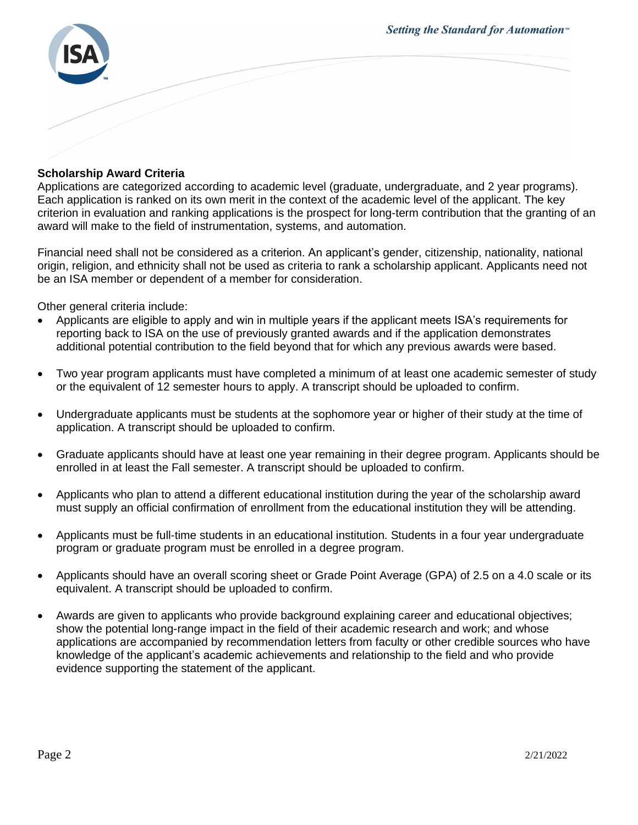

## **Scholarship Award Criteria**

Applications are categorized according to academic level (graduate, undergraduate, and 2 year programs). Each application is ranked on its own merit in the context of the academic level of the applicant. The key criterion in evaluation and ranking applications is the prospect for long-term contribution that the granting of an award will make to the field of instrumentation, systems, and automation.

Financial need shall not be considered as a criterion. An applicant's gender, citizenship, nationality, national origin, religion, and ethnicity shall not be used as criteria to rank a scholarship applicant. Applicants need not be an ISA member or dependent of a member for consideration.

Other general criteria include:

- Applicants are eligible to apply and win in multiple years if the applicant meets ISA's requirements for reporting back to ISA on the use of previously granted awards and if the application demonstrates additional potential contribution to the field beyond that for which any previous awards were based.
- Two year program applicants must have completed a minimum of at least one academic semester of study or the equivalent of 12 semester hours to apply. A transcript should be uploaded to confirm.
- Undergraduate applicants must be students at the sophomore year or higher of their study at the time of application. A transcript should be uploaded to confirm.
- Graduate applicants should have at least one year remaining in their degree program. Applicants should be enrolled in at least the Fall semester. A transcript should be uploaded to confirm.
- Applicants who plan to attend a different educational institution during the year of the scholarship award must supply an official confirmation of enrollment from the educational institution they will be attending.
- Applicants must be full-time students in an educational institution. Students in a four year undergraduate program or graduate program must be enrolled in a degree program.
- Applicants should have an overall scoring sheet or Grade Point Average (GPA) of 2.5 on a 4.0 scale or its equivalent. A transcript should be uploaded to confirm.
- Awards are given to applicants who provide background explaining career and educational objectives; show the potential long-range impact in the field of their academic research and work; and whose applications are accompanied by recommendation letters from faculty or other credible sources who have knowledge of the applicant's academic achievements and relationship to the field and who provide evidence supporting the statement of the applicant.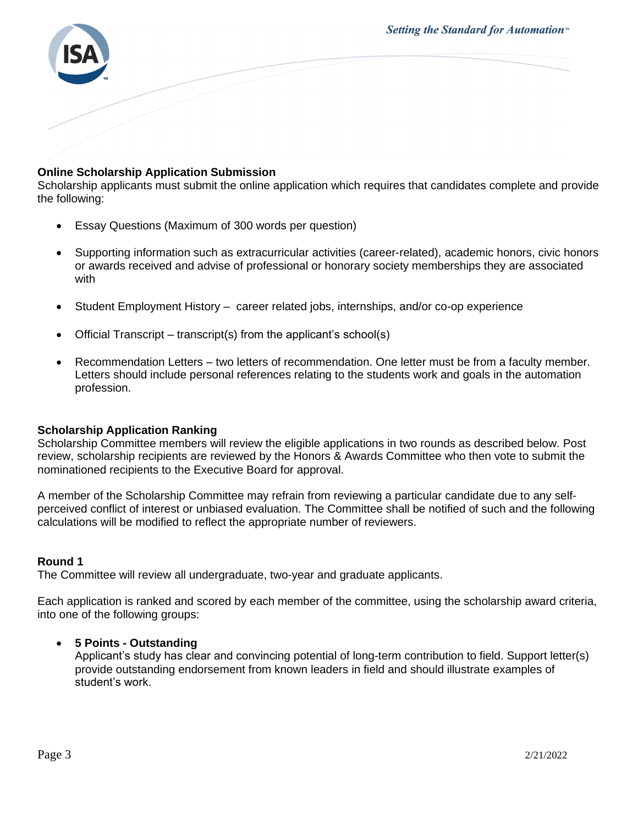Setting the Standard for Automation<sup>™</sup>



# **Online Scholarship Application Submission**

Scholarship applicants must submit the online application which requires that candidates complete and provide the following:

- Essay Questions (Maximum of 300 words per question)
- Supporting information such as extracurricular activities (career-related), academic honors, civic honors or awards received and advise of professional or honorary society memberships they are associated with
- Student Employment History career related jobs, internships, and/or co-op experience
- Official Transcript transcript(s) from the applicant's school(s)
- Recommendation Letters two letters of recommendation. One letter must be from a faculty member. Letters should include personal references relating to the students work and goals in the automation profession.

## **Scholarship Application Ranking**

Scholarship Committee members will review the eligible applications in two rounds as described below. Post review, scholarship recipients are reviewed by the Honors & Awards Committee who then vote to submit the nominationed recipients to the Executive Board for approval.

A member of the Scholarship Committee may refrain from reviewing a particular candidate due to any selfperceived conflict of interest or unbiased evaluation. The Committee shall be notified of such and the following calculations will be modified to reflect the appropriate number of reviewers.

#### **Round 1**

The Committee will review all undergraduate, two-year and graduate applicants.

Each application is ranked and scored by each member of the committee, using the scholarship award criteria, into one of the following groups:

## • **5 Points - Outstanding**

Applicant's study has clear and convincing potential of long-term contribution to field. Support letter(s) provide outstanding endorsement from known leaders in field and should illustrate examples of student's work.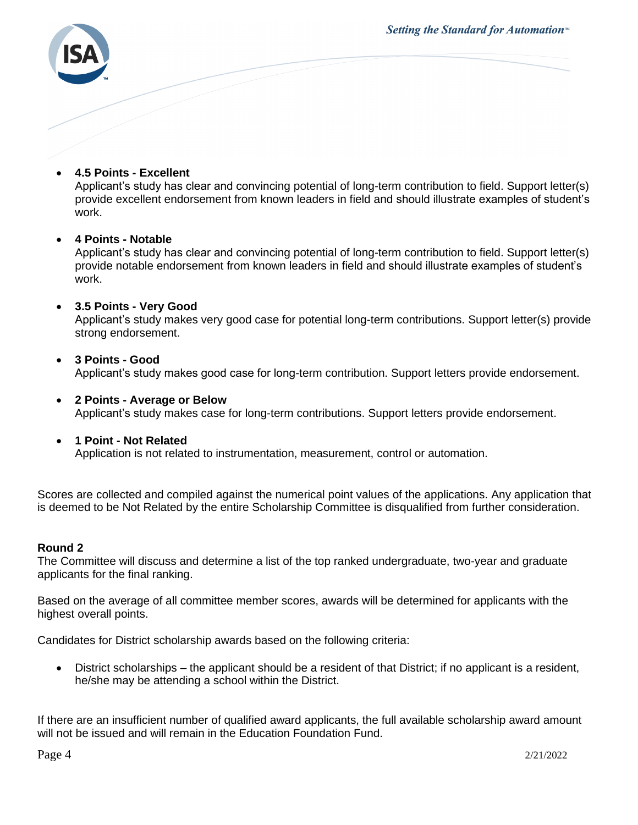Setting the Standard for Automation<sup>™</sup>



## • **4.5 Points - Excellent**

Applicant's study has clear and convincing potential of long-term contribution to field. Support letter(s) provide excellent endorsement from known leaders in field and should illustrate examples of student's work.

## • **4 Points - Notable**

Applicant's study has clear and convincing potential of long-term contribution to field. Support letter(s) provide notable endorsement from known leaders in field and should illustrate examples of student's work.

## • **3.5 Points - Very Good**

Applicant's study makes very good case for potential long-term contributions. Support letter(s) provide strong endorsement.

## • **3 Points - Good**  Applicant's study makes good case for long-term contribution. Support letters provide endorsement.

- **2 Points - Average or Below**  Applicant's study makes case for long-term contributions. Support letters provide endorsement.
- **1 Point - Not Related** Application is not related to instrumentation, measurement, control or automation.

Scores are collected and compiled against the numerical point values of the applications. Any application that is deemed to be Not Related by the entire Scholarship Committee is disqualified from further consideration.

#### **Round 2**

The Committee will discuss and determine a list of the top ranked undergraduate, two-year and graduate applicants for the final ranking.

Based on the average of all committee member scores, awards will be determined for applicants with the highest overall points.

Candidates for District scholarship awards based on the following criteria:

• District scholarships – the applicant should be a resident of that District; if no applicant is a resident, he/she may be attending a school within the District.

If there are an insufficient number of qualified award applicants, the full available scholarship award amount will not be issued and will remain in the Education Foundation Fund.